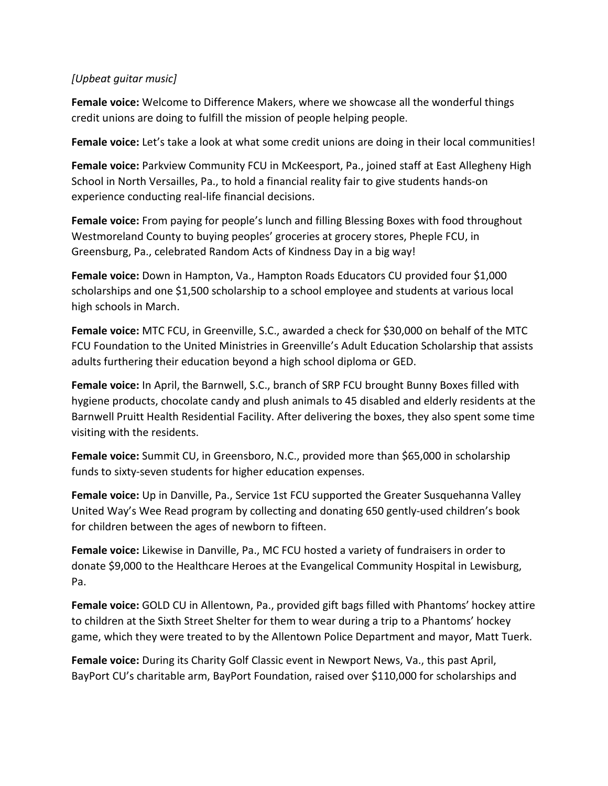## *[Upbeat guitar music]*

**Female voice:** Welcome to Difference Makers, where we showcase all the wonderful things credit unions are doing to fulfill the mission of people helping people.

Female voice: Let's take a look at what some credit unions are doing in their local communities!

**Female voice:** Parkview Community FCU in McKeesport, Pa., joined staff at East Allegheny High School in North Versailles, Pa., to hold a financial reality fair to give students hands-on experience conducting real-life financial decisions.

**Female voice:** From paying for people's lunch and filling Blessing Boxes with food throughout Westmoreland County to buying peoples' groceries at grocery stores, Pheple FCU, in Greensburg, Pa., celebrated Random Acts of Kindness Day in a big way!

**Female voice:** Down in Hampton, Va., Hampton Roads Educators CU provided four \$1,000 scholarships and one \$1,500 scholarship to a school employee and students at various local high schools in March.

**Female voice:** MTC FCU, in Greenville, S.C., awarded a check for \$30,000 on behalf of the MTC FCU Foundation to the United Ministries in Greenville's Adult Education Scholarship that assists adults furthering their education beyond a high school diploma or GED.

**Female voice:** In April, the Barnwell, S.C., branch of SRP FCU brought Bunny Boxes filled with hygiene products, chocolate candy and plush animals to 45 disabled and elderly residents at the Barnwell Pruitt Health Residential Facility. After delivering the boxes, they also spent some time visiting with the residents.

**Female voice:** Summit CU, in Greensboro, N.C., provided more than \$65,000 in scholarship funds to sixty-seven students for higher education expenses.

**Female voice:** Up in Danville, Pa., Service 1st FCU supported the Greater Susquehanna Valley United Way's Wee Read program by collecting and donating 650 gently-used children's book for children between the ages of newborn to fifteen.

**Female voice:** Likewise in Danville, Pa., MC FCU hosted a variety of fundraisers in order to donate \$9,000 to the Healthcare Heroes at the Evangelical Community Hospital in Lewisburg, Pa.

**Female voice:** GOLD CU in Allentown, Pa., provided gift bags filled with Phantoms' hockey attire to children at the Sixth Street Shelter for them to wear during a trip to a Phantoms' hockey game, which they were treated to by the Allentown Police Department and mayor, Matt Tuerk.

**Female voice:** During its Charity Golf Classic event in Newport News, Va., this past April, BayPort CU's charitable arm, BayPort Foundation, raised over \$110,000 for scholarships and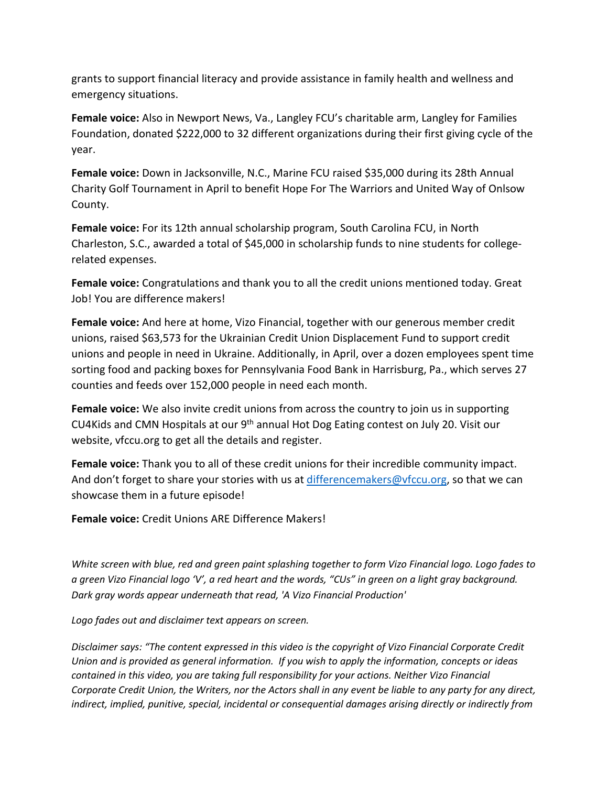grants to support financial literacy and provide assistance in family health and wellness and emergency situations.

**Female voice:** Also in Newport News, Va., Langley FCU's charitable arm, Langley for Families Foundation, donated \$222,000 to 32 different organizations during their first giving cycle of the year.

**Female voice:** Down in Jacksonville, N.C., Marine FCU raised \$35,000 during its 28th Annual Charity Golf Tournament in April to benefit Hope For The Warriors and United Way of Onlsow County.

**Female voice:** For its 12th annual scholarship program, South Carolina FCU, in North Charleston, S.C., awarded a total of \$45,000 in scholarship funds to nine students for collegerelated expenses.

**Female voice:** Congratulations and thank you to all the credit unions mentioned today. Great Job! You are difference makers!

**Female voice:** And here at home, Vizo Financial, together with our generous member credit unions, raised \$63,573 for the Ukrainian Credit Union Displacement Fund to support credit unions and people in need in Ukraine. Additionally, in April, over a dozen employees spent time sorting food and packing boxes for Pennsylvania Food Bank in Harrisburg, Pa., which serves 27 counties and feeds over 152,000 people in need each month.

**Female voice:** We also invite credit unions from across the country to join us in supporting CU4Kids and CMN Hospitals at our 9<sup>th</sup> annual Hot Dog Eating contest on July 20. Visit our website, vfccu.org to get all the details and register.

**Female voice:** Thank you to all of these credit unions for their incredible community impact. And don't forget to share your stories with us at [differencemakers@vfccu.org,](mailto:differencemakers@vfccu.org) so that we can showcase them in a future episode!

**Female voice:** Credit Unions ARE Difference Makers!

*White screen with blue, red and green paint splashing together to form Vizo Financial logo. Logo fades to a green Vizo Financial logo 'V', a red heart and the words, "CUs" in green on a light gray background. Dark gray words appear underneath that read, 'A Vizo Financial Production'*

*Logo fades out and disclaimer text appears on screen.*

*Disclaimer says: "The content expressed in this video is the copyright of Vizo Financial Corporate Credit Union and is provided as general information. If you wish to apply the information, concepts or ideas contained in this video, you are taking full responsibility for your actions. Neither Vizo Financial Corporate Credit Union, the Writers, nor the Actors shall in any event be liable to any party for any direct,*  indirect, implied, punitive, special, incidental or consequential damages arising directly or indirectly from